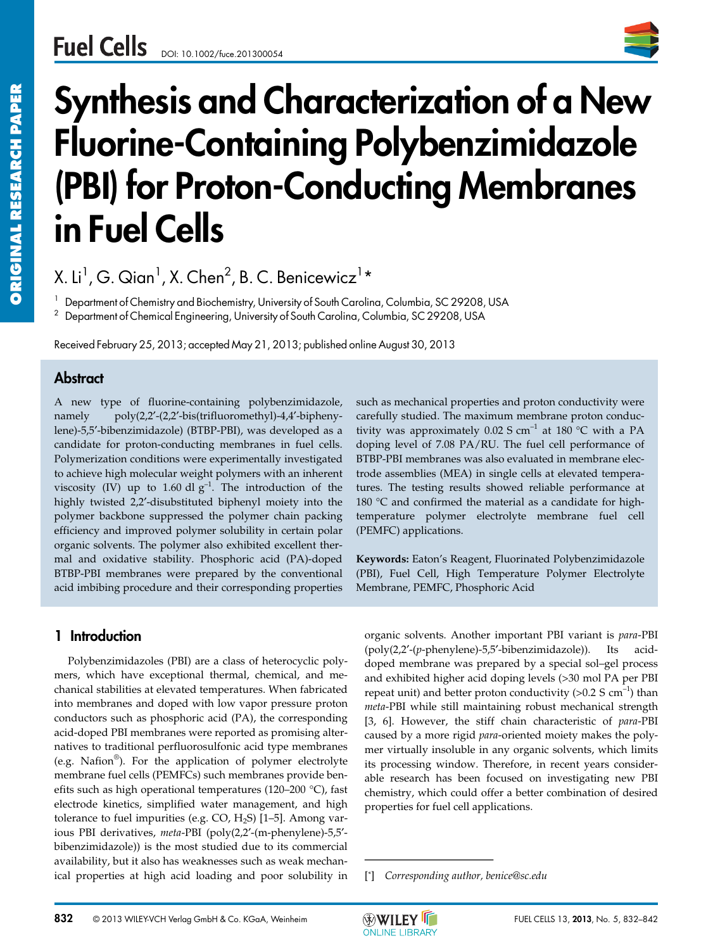

# **Synthesis and Characterization of a New Fluorine-Containing Polybenzimidazole (PBI) for Proton-Conducting Membranes in Fuel Cells**

X. Li $^1$ , G. Qian $^1$ , X. Chen $^2$ , B. C. Benicewicz $^1\star$ 

 $^1$  Department of Chemistry and Biochemistry, University of South Carolina, Columbia, SC 29208, USA

<sup>2</sup> Department of Chemical Engineering, University of South Carolina, Columbia, SC 29208, USA

Received February 25, 2013; accepted May 21, 2013; published online August 30, 2013

# **Abstract**

A new type of fluorine-containing polybenzimidazole, namely poly(2,2′-(2,2′-bis(trifluoromethyl)-4,4′-biphenylene)-5,5′-bibenzimidazole) (BTBP-PBI), was developed as a candidate for proton-conducting membranes in fuel cells. Polymerization conditions were experimentally investigated to achieve high molecular weight polymers with an inherent viscosity (IV) up to 1.60 dl  $g^{-1}$ . The introduction of the highly twisted 2,2′-disubstituted biphenyl moiety into the polymer backbone suppressed the polymer chain packing efficiency and improved polymer solubility in certain polar organic solvents. The polymer also exhibited excellent thermal and oxidative stability. Phosphoric acid (PA)-doped BTBP-PBI membranes were prepared by the conventional acid imbibing procedure and their corresponding properties

# **1 Introduction**

Polybenzimidazoles (PBI) are a class of heterocyclic polymers, which have exceptional thermal, chemical, and mechanical stabilities at elevated temperatures. When fabricated into membranes and doped with low vapor pressure proton conductors such as phosphoric acid (PA), the corresponding acid-doped PBI membranes were reported as promising alternatives to traditional perfluorosulfonic acid type membranes (e.g. Nafion®). For the application of polymer electrolyte membrane fuel cells (PEMFCs) such membranes provide benefits such as high operational temperatures (120–200 °C), fast electrode kinetics, simplified water management, and high tolerance to fuel impurities (e.g. CO,  $H_2S$ ) [1-5]. Among various PBI derivatives, *meta*-PBI (poly(2,2′-(m-phenylene)-5,5′ bibenzimidazole)) is the most studied due to its commercial availability, but it also has weaknesses such as weak mechanical properties at high acid loading and poor solubility in

such as mechanical properties and proton conductivity were carefully studied. The maximum membrane proton conductivity was approximately  $0.02$  S cm<sup>-1</sup> at 180 °C with a PA doping level of 7.08 PA/RU. The fuel cell performance of BTBP-PBI membranes was also evaluated in membrane electrode assemblies (MEA) in single cells at elevated temperatures. The testing results showed reliable performance at 180 °C and confirmed the material as a candidate for hightemperature polymer electrolyte membrane fuel cell (PEMFC) applications.

**Keywords:** Eaton's Reagent, Fluorinated Polybenzimidazole (PBI), Fuel Cell, High Temperature Polymer Electrolyte Membrane, PEMFC, Phosphoric Acid

organic solvents. Another important PBI variant is *para*-PBI (poly(2,2′-(*p*-phenylene)-5,5′-bibenzimidazole)). Its aciddoped membrane was prepared by a special sol–gel process and exhibited higher acid doping levels (>30 mol PA per PBI repeat unit) and better proton conductivity  $(>0.2 S cm^{-1})$  than *meta*-PBI while still maintaining robust mechanical strength [3, 6]. However, the stiff chain characteristic of *para*-PBI caused by a more rigid *para*-oriented moiety makes the polymer virtually insoluble in any organic solvents, which limits its processing window. Therefore, in recent years considerable research has been focused on investigating new PBI chemistry, which could offer a better combination of desired properties for fuel cell applications. and exhibited higher acid a<br>repeat unit) and better prot<br>*meta*-PBI while still mainta<br>[3, 6]. However, the stifl<br>caused by a more rigid *par*<br>mer virtually insoluble in<br>its processing window. Th<br>able research has been for

[\*] *Corresponding author, benice@sc.edu*

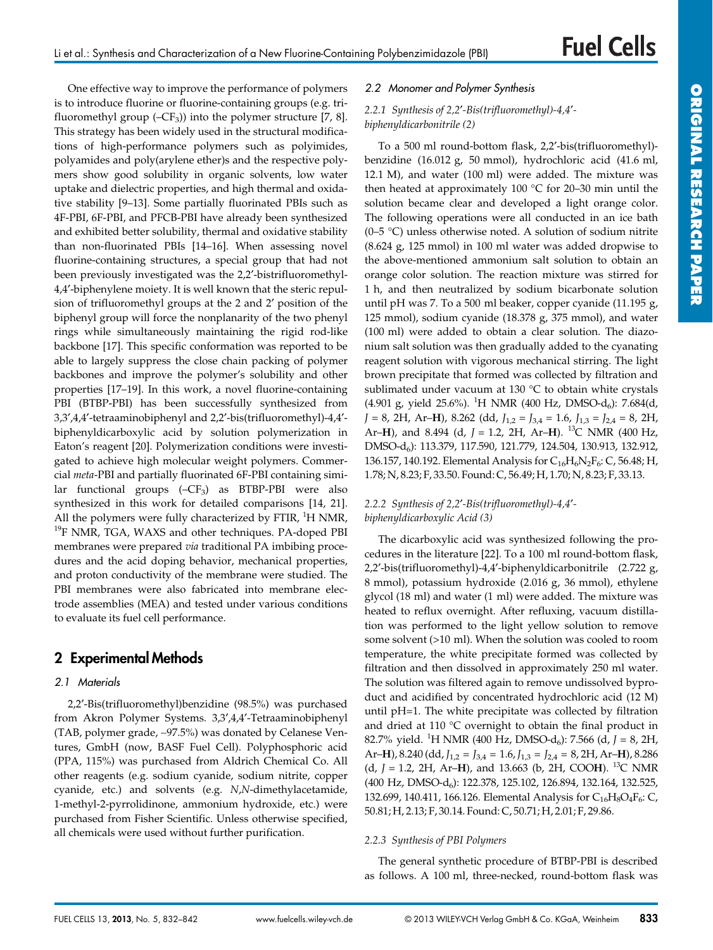One effective way to improve the performance of polymers is to introduce fluorine or fluorine-containing groups (e.g. trifluoromethyl group  $(-CF_3)$  into the polymer structure [7, 8]. This strategy has been widely used in the structural modifications of high-performance polymers such as polyimides, polyamides and poly(arylene ether)s and the respective polymers show good solubility in organic solvents, low water uptake and dielectric properties, and high thermal and oxidative stability [9–13]. Some partially fluorinated PBIs such as 4F-PBI, 6F-PBI, and PFCB-PBI have already been synthesized and exhibited better solubility, thermal and oxidative stability than non-fluorinated PBIs [14–16]. When assessing novel fluorine-containing structures, a special group that had not been previously investigated was the 2,2′-bistrifluoromethyl-4,4′-biphenylene moiety. It is well known that the steric repulsion of trifluoromethyl groups at the 2 and 2′ position of the biphenyl group will force the nonplanarity of the two phenyl rings while simultaneously maintaining the rigid rod-like backbone [17]. This specific conformation was reported to be able to largely suppress the close chain packing of polymer backbones and improve the polymer's solubility and other properties [17–19]. In this work, a novel fluorine-containing PBI (BTBP-PBI) has been successfully synthesized from 3,3′,4,4′-tetraaminobiphenyl and 2,2′-bis(trifluoromethyl)-4,4′ biphenyldicarboxylic acid by solution polymerization in Eaton's reagent [20]. Polymerization conditions were investigated to achieve high molecular weight polymers. Commercial *meta*-PBI and partially fluorinated 6F-PBI containing similar functional groups  $(-CF_3)$  as BTBP-PBI were also synthesized in this work for detailed comparisons [14, 21]. All the polymers were fully characterized by FTIR, <sup>1</sup>H NMR, <sup>19</sup>F NMR, TGA, WAXS and other techniques. PA-doped PBI membranes were prepared *via* traditional PA imbibing procedures and the acid doping behavior, mechanical properties, and proton conductivity of the membrane were studied. The PBI membranes were also fabricated into membrane electrode assemblies (MEA) and tested under various conditions to evaluate its fuel cell performance.

# **2 Experimental Methods**

#### *2.1 Materials*

2,2′-Bis(trifluoromethyl)benzidine (98.5%) was purchased from Akron Polymer Systems. 3,3′,4,4′-Tetraaminobiphenyl (TAB, polymer grade, ∼97.5%) was donated by Celanese Ventures, GmbH (now, BASF Fuel Cell). Polyphosphoric acid (PPA, 115%) was purchased from Aldrich Chemical Co. All other reagents (e.g. sodium cyanide, sodium nitrite, copper cyanide, etc.) and solvents (e.g. *N*,*N*-dimethylacetamide, 1-methyl-2-pyrrolidinone, ammonium hydroxide, etc.) were purchased from Fisher Scientific. Unless otherwise specified, all chemicals were used without further purification.

#### *2.2 Monomer and Polymer Synthesis*

#### *2.2.1 Synthesis of 2,2*′*-Bis(trifluoromethyl)-4,4*′ *biphenyldicarbonitrile (2)*

To a 500 ml round-bottom flask, 2,2′-bis(trifluoromethyl) benzidine (16.012 g, 50 mmol), hydrochloric acid (41.6 ml, 12.1 M), and water (100 ml) were added. The mixture was then heated at approximately 100 °C for 20–30 min until the solution became clear and developed a light orange color. The following operations were all conducted in an ice bath (0–5 °C) unless otherwise noted. A solution of sodium nitrite (8.624 g, 125 mmol) in 100 ml water was added dropwise to the above-mentioned ammonium salt solution to obtain an orange color solution. The reaction mixture was stirred for 1 h, and then neutralized by sodium bicarbonate solution until pH was 7. To a 500 ml beaker, copper cyanide (11.195 g, 125 mmol), sodium cyanide (18.378 g, 375 mmol), and water (100 ml) were added to obtain a clear solution. The diazonium salt solution was then gradually added to the cyanating reagent solution with vigorous mechanical stirring. The light brown precipitate that formed was collected by filtration and sublimated under vacuum at 130 °C to obtain white crystals  $(4.901 \text{ g}, \text{ yield } 25.6\%).$ <sup>1</sup>H NMR  $(400 \text{ Hz}, \text{ DMSO-d}_6)$ : 7.684 $(d, \text{ s})$  $J = 8$ , 2H, Ar–**H**), 8.262 (dd,  $J_{1,2} = J_{3,4} = 1.6$ ,  $J_{1,3} = J_{2,4} = 8$ , 2H, Ar–**H**), and 8.494 (d, *J* = 1.2, 2H, Ar–**H**). 13C NMR (400 Hz, DMSO-d6): 113.379, 117.590, 121.779, 124.504, 130.913, 132.912, 136.157, 140.192. Elemental Analysis for  $C_{16}H_6N_2F_6$ : C, 56.48; H, 1.78; N, 8.23; F, 33.50. Found: C, 56.49; H, 1.70; N, 8.23; F, 33.13.

#### *2.2.2 Synthesis of 2,2*′*-Bis(trifluoromethyl)-4,4*′ *biphenyldicarboxylic Acid (3)*

The dicarboxylic acid was synthesized following the procedures in the literature [22]. To a 100 ml round-bottom flask, 2,2′-bis(trifluoromethyl)-4,4′-biphenyldicarbonitrile (2.722 g, 8 mmol), potassium hydroxide (2.016 g, 36 mmol), ethylene glycol (18 ml) and water (1 ml) were added. The mixture was heated to reflux overnight. After refluxing, vacuum distillation was performed to the light yellow solution to remove some solvent (>10 ml). When the solution was cooled to room temperature, the white precipitate formed was collected by filtration and then dissolved in approximately 250 ml water. The solution was filtered again to remove undissolved byproduct and acidified by concentrated hydrochloric acid (12 M) until pH=1. The white precipitate was collected by filtration and dried at 110 °C overnight to obtain the final product in 82.7% yield. <sup>1</sup> H NMR (400 Hz, DMSO-d6): 7.566 (d, *J* = 8, 2H, Ar–**H**), 8.240 (dd, *J*1,2 = *J*3,4 = 1.6, *J*1,3 = *J*2,4 = 8, 2H, Ar–**H**), 8.286 (d, *J* = 1.2, 2H, Ar–**H**), and 13.663 (b, 2H, COO**H**). 13C NMR (400 Hz, DMSO-d<sub>6</sub>): 122.378, 125.102, 126.894, 132.164, 132.525, 132.699, 140.411, 166.126. Elemental Analysis for  $C_{16}H_8O_4F_6$ : C, 50.81; H, 2.13; F, 30.14. Found: C, 50.71; H, 2.01; F, 29.86.

#### *2.2.3 Synthesis of PBI Polymers*

The general synthetic procedure of BTBP-PBI is described as follows. A 100 ml, three-necked, round-bottom flask was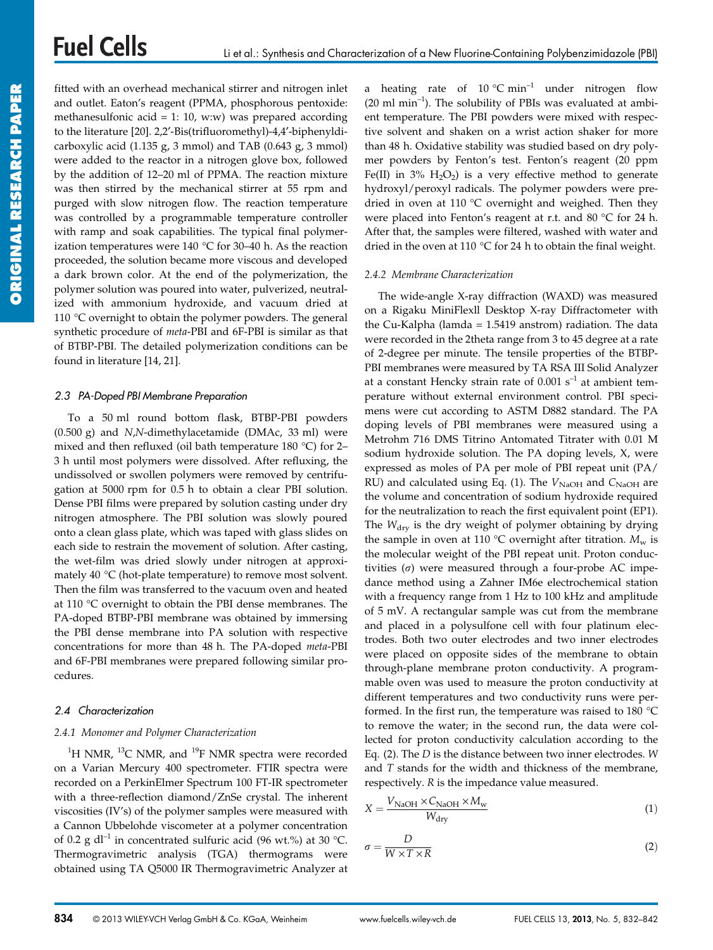# **Fuel Cells**

fitted with an overhead mechanical stirrer and nitrogen inlet and outlet. Eaton's reagent (PPMA, phosphorous pentoxide: methanesulfonic acid = 1: 10, w:w) was prepared according to the literature [20]. 2,2′-Bis(trifluoromethyl)-4,4′-biphenyldicarboxylic acid (1.135 g, 3 mmol) and TAB (0.643 g, 3 mmol) were added to the reactor in a nitrogen glove box, followed by the addition of 12–20 ml of PPMA. The reaction mixture was then stirred by the mechanical stirrer at 55 rpm and purged with slow nitrogen flow. The reaction temperature was controlled by a programmable temperature controller with ramp and soak capabilities. The typical final polymerization temperatures were  $140 \degree C$  for 30–40 h. As the reaction proceeded, the solution became more viscous and developed a dark brown color. At the end of the polymerization, the polymer solution was poured into water, pulverized, neutralized with ammonium hydroxide, and vacuum dried at 110 °C overnight to obtain the polymer powders. The general synthetic procedure of *meta*-PBI and 6F-PBI is similar as that of BTBP-PBI. The detailed polymerization conditions can be found in literature [14, 21].

#### *2.3 PA-Doped PBI Membrane Preparation*

To a 50 ml round bottom flask, BTBP-PBI powders (0.500 g) and *N*,*N*-dimethylacetamide (DMAc, 33 ml) were mixed and then refluxed (oil bath temperature 180 °C) for 2– 3 h until most polymers were dissolved. After refluxing, the undissolved or swollen polymers were removed by centrifugation at 5000 rpm for 0.5 h to obtain a clear PBI solution. Dense PBI films were prepared by solution casting under dry nitrogen atmosphere. The PBI solution was slowly poured onto a clean glass plate, which was taped with glass slides on each side to restrain the movement of solution. After casting, the wet-film was dried slowly under nitrogen at approximately 40 °C (hot-plate temperature) to remove most solvent. Then the film was transferred to the vacuum oven and heated at 110 °C overnight to obtain the PBI dense membranes. The PA-doped BTBP-PBI membrane was obtained by immersing the PBI dense membrane into PA solution with respective concentrations for more than 48 h. The PA-doped *meta*-PBI and 6F-PBI membranes were prepared following similar procedures.

#### *2.4 Characterization*

#### *2.4.1 Monomer and Polymer Characterization*

 $^{1}$ H NMR,  $^{13}$ C NMR, and  $^{19}$ F NMR spectra were recorded on a Varian Mercury 400 spectrometer. FTIR spectra were recorded on a PerkinElmer Spectrum 100 FT-IR spectrometer with a three-reflection diamond/ZnSe crystal. The inherent viscosities (IV's) of the polymer samples were measured with a Cannon Ubbelohde viscometer at a polymer concentration of 0.2 g dl<sup>-1</sup> in concentrated sulfuric acid (96 wt.%) at 30 °C. Thermogravimetric analysis (TGA) thermograms were obtained using TA Q5000 IR Thermogravimetric Analyzer at a heating rate of  $10^{\circ}$ C min<sup>-1</sup> under nitrogen flow  $(20 \text{ ml min}^{-1})$ . The solubility of PBIs was evaluated at ambient temperature. The PBI powders were mixed with respective solvent and shaken on a wrist action shaker for more than 48 h. Oxidative stability was studied based on dry polymer powders by Fenton's test. Fenton's reagent (20 ppm Fe(II) in  $3\%$  H<sub>2</sub>O<sub>2</sub>) is a very effective method to generate hydroxyl/peroxyl radicals. The polymer powders were predried in oven at 110 °C overnight and weighed. Then they were placed into Fenton's reagent at r.t. and 80 °C for 24 h. After that, the samples were filtered, washed with water and dried in the oven at 110 °C for 24 h to obtain the final weight.

#### *2.4.2 Membrane Characterization*

The wide-angle X-ray diffraction (WAXD) was measured on a Rigaku MiniFlexll Desktop X-ray Diffractometer with the Cu-Kalpha (lamda = 1.5419 anstrom) radiation. The data were recorded in the 2theta range from 3 to 45 degree at a rate of 2-degree per minute. The tensile properties of the BTBP-PBI membranes were measured by TA RSA III Solid Analyzer at a constant Hencky strain rate of  $0.001$  s<sup>-1</sup> at ambient temperature without external environment control. PBI specimens were cut according to ASTM D882 standard. The PA doping levels of PBI membranes were measured using a Metrohm 716 DMS Titrino Antomated Titrater with 0.01 M sodium hydroxide solution. The PA doping levels, X, were expressed as moles of PA per mole of PBI repeat unit (PA/ RU) and calculated using Eq. (1). The  $V_{\text{NaOH}}$  and  $C_{\text{NaOH}}$  are the volume and concentration of sodium hydroxide required for the neutralization to reach the first equivalent point (EP1). The *W*<sub>dry</sub> is the dry weight of polymer obtaining by drying the sample in oven at 110 °C overnight after titration.  $M_w$  is the molecular weight of the PBI repeat unit. Proton conductivities  $(\sigma)$  were measured through a four-probe AC impedance method using a Zahner IM6e electrochemical station with a frequency range from 1 Hz to 100 kHz and amplitude of 5 mV. A rectangular sample was cut from the membrane and placed in a polysulfone cell with four platinum electrodes. Both two outer electrodes and two inner electrodes were placed on opposite sides of the membrane to obtain through-plane membrane proton conductivity. A programmable oven was used to measure the proton conductivity at different temperatures and two conductivity runs were performed. In the first run, the temperature was raised to 180 °C to remove the water; in the second run, the data were collected for proton conductivity calculation according to the Eq. (2). The *D* is the distance between two inner electrodes. *W* and *T* stands for the width and thickness of the membrane, respectively. *R* is the impedance value measured.

$$
X = \frac{V_{\text{NaOH}} \times C_{\text{NaOH}} \times M_{\text{w}}}{W_{\text{dry}}}
$$
(1)

$$
\tau = \frac{D}{W \times T \times R} \tag{2}
$$

*r* -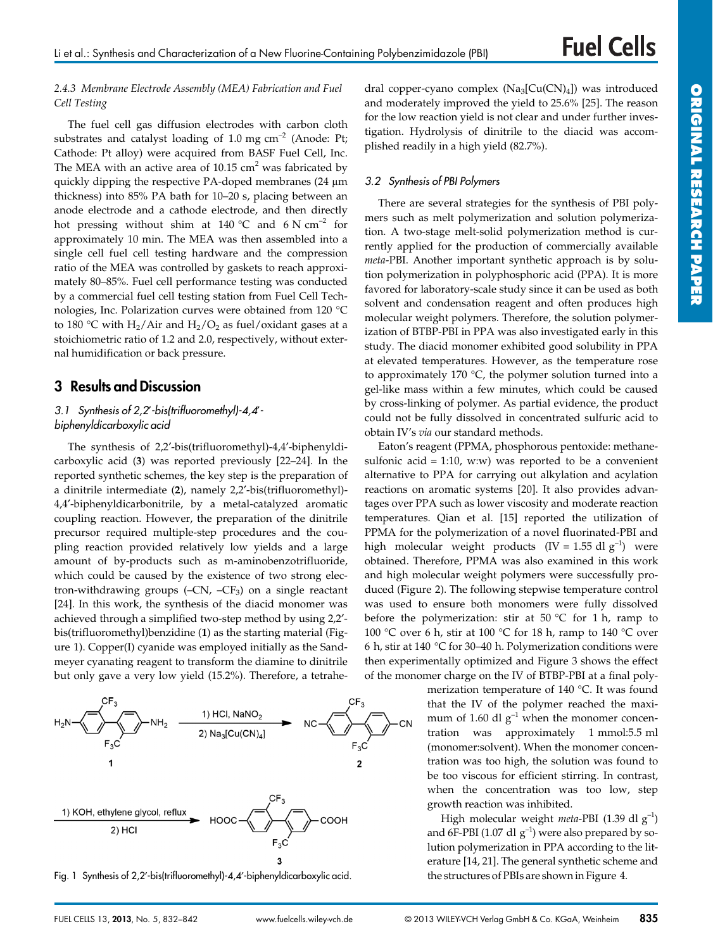#### *2.4.3 Membrane Electrode Assembly (MEA) Fabrication and Fuel Cell Testing*

The fuel cell gas diffusion electrodes with carbon cloth substrates and catalyst loading of 1.0 mg  $cm^{-2}$  (Anode: Pt; Cathode: Pt alloy) were acquired from BASF Fuel Cell, Inc. The MEA with an active area of  $10.15 \text{ cm}^2$  was fabricated by quickly dipping the respective PA-doped membranes (24 µm thickness) into 85% PA bath for 10–20 s, placing between an anode electrode and a cathode electrode, and then directly hot pressing without shim at 140 °C and 6 N cm<sup>-2</sup> for approximately 10 min. The MEA was then assembled into a single cell fuel cell testing hardware and the compression ratio of the MEA was controlled by gaskets to reach approximately 80–85%. Fuel cell performance testing was conducted by a commercial fuel cell testing station from Fuel Cell Technologies, Inc. Polarization curves were obtained from 120 °C to 180 °C with  $H_2/A$ ir and  $H_2/O_2$  as fuel/oxidant gases at a stoichiometric ratio of 1.2 and 2.0, respectively, without external humidification or back pressure.

# **3 Results and Discussion**

#### *3.1 Synthesis of 2,2*′*-bis(trifluoromethyl)-4,4*′ *biphenyldicarboxylic acid*

The synthesis of 2,2′-bis(trifluoromethyl)-4,4′-biphenyldicarboxylic acid (**3**) was reported previously [22–24]. In the reported synthetic schemes, the key step is the preparation of a dinitrile intermediate (**2**), namely 2,2′-bis(trifluoromethyl)- 4,4′-biphenyldicarbonitrile, by a metal-catalyzed aromatic coupling reaction. However, the preparation of the dinitrile precursor required multiple-step procedures and the coupling reaction provided relatively low yields and a large amount of by-products such as m-aminobenzotrifluoride, which could be caused by the existence of two strong electron-withdrawing groups  $(-CN, -CF_3)$  on a single reactant [24]. In this work, the synthesis of the diacid monomer was achieved through a simplified two-step method by using 2,2′ bis(trifluoromethyl)benzidine (**1**) as the starting material (Figure 1). Copper(I) cyanide was employed initially as the Sandmeyer cyanating reagent to transform the diamine to dinitrile but only gave a very low yield (15.2%). Therefore, a tetrahe-



Fig. 1 Synthesis of 2,2′-bis(trifluoromethyl)-4,4′-biphenyldicarboxylic acid. the structures of PBIs are shown in Figure 4.

dral copper-cyano complex  $(Na_3[Cu(CN)_4])$  was introduced and moderately improved the yield to 25.6% [25]. The reason for the low reaction yield is not clear and under further investigation. Hydrolysis of dinitrile to the diacid was accomplished readily in a high yield (82.7%).

#### *3.2 Synthesis of PBI Polymers*

There are several strategies for the synthesis of PBI polymers such as melt polymerization and solution polymerization. A two-stage melt-solid polymerization method is currently applied for the production of commercially available *meta*-PBI. Another important synthetic approach is by solution polymerization in polyphosphoric acid (PPA). It is more favored for laboratory-scale study since it can be used as both solvent and condensation reagent and often produces high molecular weight polymers. Therefore, the solution polymerization of BTBP-PBI in PPA was also investigated early in this study. The diacid monomer exhibited good solubility in PPA at elevated temperatures. However, as the temperature rose to approximately 170 °C, the polymer solution turned into a gel-like mass within a few minutes, which could be caused by cross-linking of polymer. As partial evidence, the product could not be fully dissolved in concentrated sulfuric acid to obtain IV's *via* our standard methods.

Eaton's reagent (PPMA, phosphorous pentoxide: methanesulfonic acid = 1:10, w:w) was reported to be a convenient alternative to PPA for carrying out alkylation and acylation reactions on aromatic systems [20]. It also provides advantages over PPA such as lower viscosity and moderate reaction temperatures. Qian et al. [15] reported the utilization of PPMA for the polymerization of a novel fluorinated-PBI and high molecular weight products  $(IV = 1.55 \text{ d}l \text{ g}^{-1})$  were obtained. Therefore, PPMA was also examined in this work and high molecular weight polymers were successfully produced (Figure 2). The following stepwise temperature control was used to ensure both monomers were fully dissolved before the polymerization: stir at 50 °C for 1 h, ramp to 100 °C over 6 h, stir at 100 °C for 18 h, ramp to 140 °C over 6 h, stir at 140 °C for 30–40 h. Polymerization conditions were then experimentally optimized and Figure 3 shows the effect of the monomer charge on the IV of BTBP-PBI at a final poly-

> merization temperature of 140 °C. It was found that the IV of the polymer reached the maximum of 1.60 dl  $g^{-1}$  when the monomer concentration was approximately 1 mmol:5.5 ml (monomer:solvent). When the monomer concentration was too high, the solution was found to be too viscous for efficient stirring. In contrast, when the concentration was too low, step growth reaction was inhibited.

> High molecular weight *meta*-PBI (1.39 dl g–1) and 6F-PBI (1.07 dl  $g^{-1}$ ) were also prepared by solution polymerization in PPA according to the literature [14, 21]. The general synthetic scheme and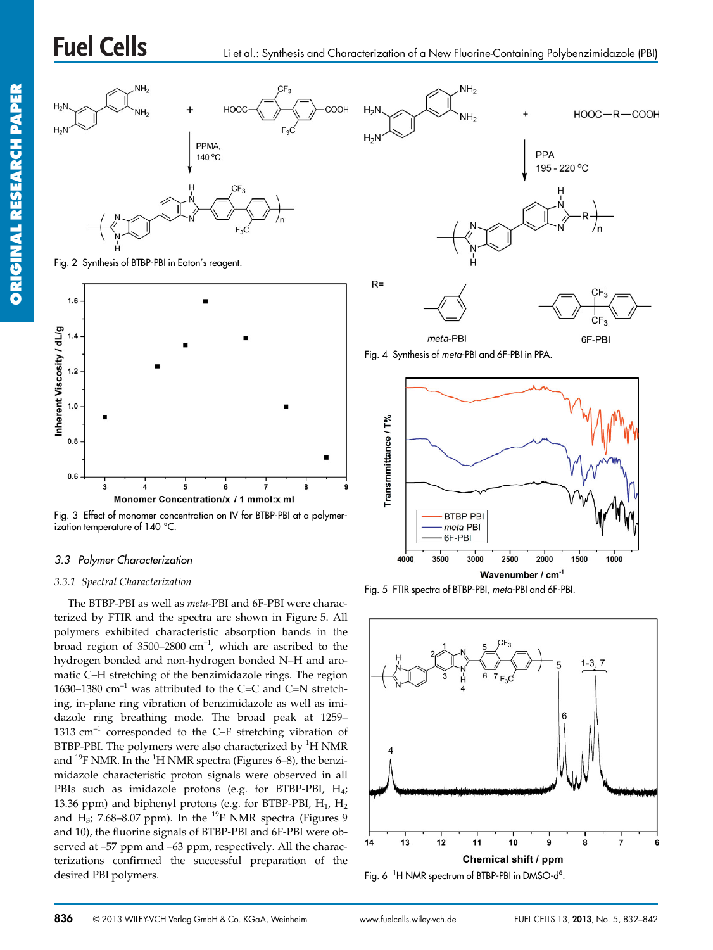# **Fuel Cells**



Fig. 2 Synthesis of BTBP-PBI in Eaton's reagent.



Fig. 3 Effect of monomer concentration on IV for BTBP-PBI at a polymerization temperature of 140 °C.

#### *3.3 Polymer Characterization*

#### *3.3.1 Spectral Characterization*

The BTBP-PBI as well as *meta*-PBI and 6F-PBI were characterized by FTIR and the spectra are shown in Figure 5. All polymers exhibited characteristic absorption bands in the broad region of  $3500-2800$  cm<sup>-1</sup>, which are ascribed to the hydrogen bonded and non-hydrogen bonded N–H and aromatic C–H stretching of the benzimidazole rings. The region 1630–1380  $\text{cm}^{-1}$  was attributed to the C=C and C=N stretching, in-plane ring vibration of benzimidazole as well as imidazole ring breathing mode. The broad peak at 1259– 1313  $cm^{-1}$  corresponded to the C–F stretching vibration of BTBP-PBI. The polymers were also characterized by  $^1\mathrm{H}$  NMR and  $^{19}$ F NMR. In the  $^{1}$ H NMR spectra (Figures 6–8), the benzimidazole characteristic proton signals were observed in all PBIs such as imidazole protons (e.g. for BTBP-PBI, H<sub>4</sub>; 13.36 ppm) and biphenyl protons (e.g. for BTBP-PBI,  $H_1$ ,  $H_2$ and H<sub>3</sub>; 7.68–8.07 ppm). In the <sup>19</sup>F NMR spectra (Figures 9 and 10), the fluorine signals of BTBP-PBI and 6F-PBI were observed at –57 ppm and –63 ppm, respectively. All the characterizations confirmed the successful preparation of the desired PBI polymers.



Fig. 4 Synthesis of *meta*-PBI and 6F-PBI in PPA.



Fig. 5 FTIR spectra of BTBP-PBI, *meta*-PBI and 6F-PBI.



Fig. 6  $\,$  <sup>1</sup>H NMR spectrum of BTBP-PBI in DMSO-d<sup>6</sup>.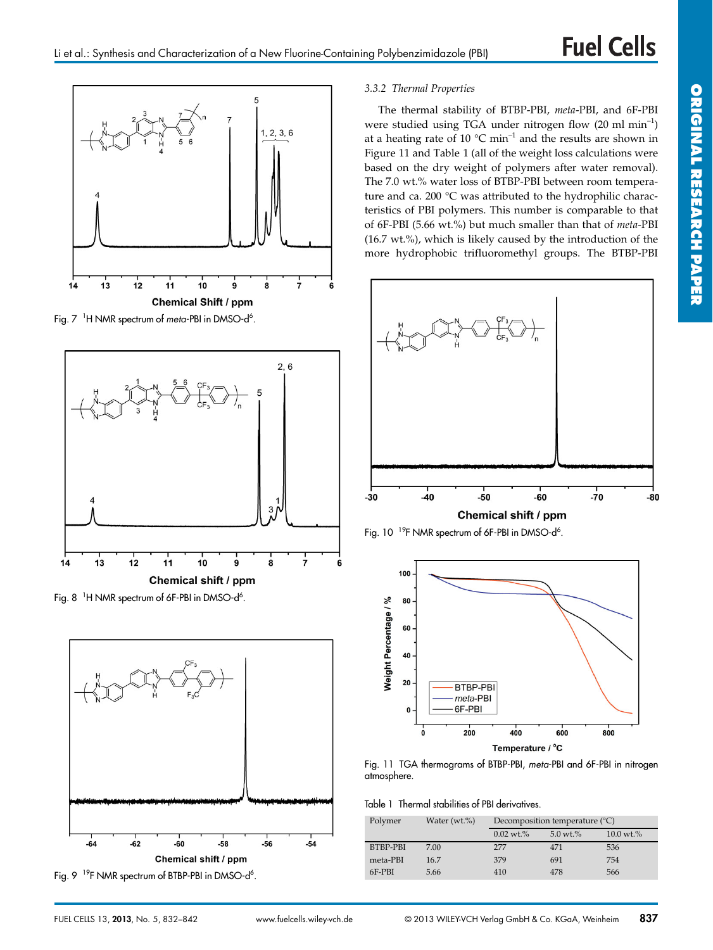

Fig. 7<sup>1</sup>H NMR spectrum of *meta*-PBI in DMSO-d<sup>6</sup>.



Fig. 8  $\,$  <sup>1</sup>H NMR spectrum of 6F-PBI in DMSO-d<sup>6</sup>.



Fig. 9<sup>19</sup>F NMR spectrum of BTBP-PBI in DMSO-d<sup>6</sup>.

#### *3.3.2 Thermal Properties*

The thermal stability of BTBP-PBI, *meta*-PBI, and 6F-PBI were studied using TGA under nitrogen flow (20 ml min–1) at a heating rate of 10 °C min–1 and the results are shown in Figure 11 and Table 1 (all of the weight loss calculations were based on the dry weight of polymers after water removal). The 7.0 wt.% water loss of BTBP-PBI between room temperature and ca. 200 °C was attributed to the hydrophilic characteristics of PBI polymers. This number is comparable to that of 6F-PBI (5.66 wt.%) but much smaller than that of *meta*-PBI (16.7 wt.%), which is likely caused by the introduction of the more hydrophobic trifluoromethyl groups. The BTBP-PBI



Fig. 10  $^{19}$ F NMR spectrum of 6F-PBI in DMSO-d<sup>6</sup>.



Fig. 11 TGA thermograms of BTBP-PBI, *meta*-PBI and 6F-PBI in nitrogen atmosphere.

Table 1 Thermal stabilities of PBI derivatives.

| Polymer  | Water $(wt.\%)$ | Decomposition temperature $(^{\circ}C)$ |                        |                         |  |
|----------|-----------------|-----------------------------------------|------------------------|-------------------------|--|
|          |                 | $0.02 \text{ wt.} \%$                   | $5.0 \,\mathrm{wt.}\%$ | $10.0 \,\mathrm{wt}$ .% |  |
| BTBP-PBI | 7.00            | 277                                     | 471                    | 536                     |  |
| meta-PBI | 16.7            | 379                                     | 691                    | 754                     |  |
| 6F-PBI   | 5.66            | 410                                     | 478                    | 566                     |  |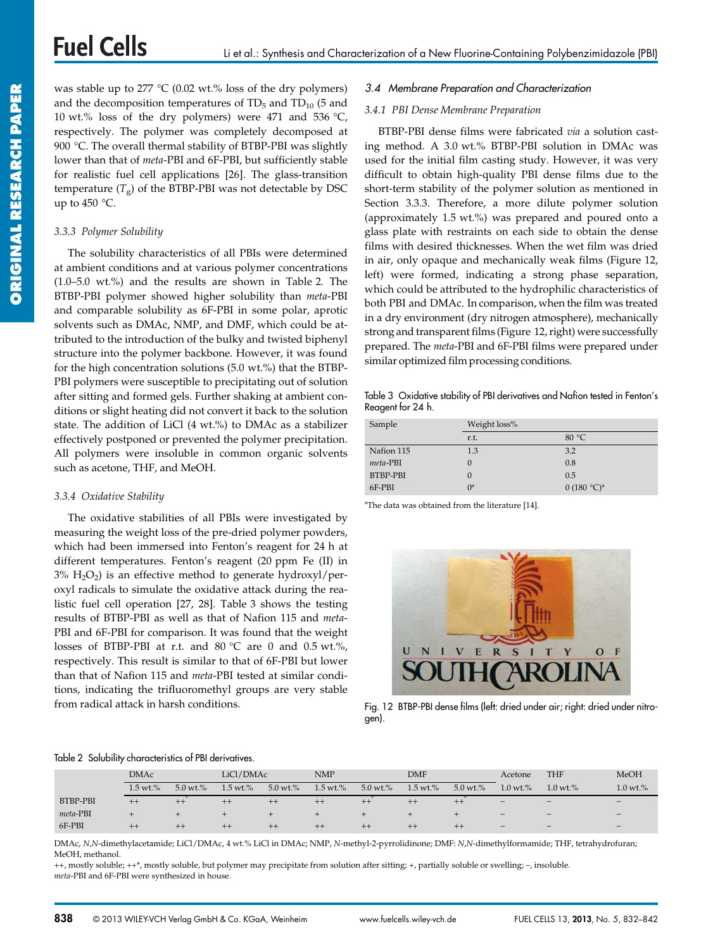was stable up to  $277 \text{ °C}$  (0.02 wt.% loss of the dry polymers) and the decomposition temperatures of  $TD_5$  and  $TD_{10}$  (5 and 10 wt.% loss of the dry polymers) were 471 and 536  $°C$ , respectively. The polymer was completely decomposed at 900 °C. The overall thermal stability of BTBP-PBI was slightly lower than that of *meta*-PBI and 6F-PBI, but sufficiently stable for realistic fuel cell applications [26]. The glass-transition temperature  $(T<sub>g</sub>)$  of the BTBP-PBI was not detectable by DSC up to  $450^{\circ}$ C.

#### *3.3.3 Polymer Solubility*

The solubility characteristics of all PBIs were determined at ambient conditions and at various polymer concentrations (1.0–5.0 wt.%) and the results are shown in Table 2. The BTBP-PBI polymer showed higher solubility than *meta*-PBI and comparable solubility as 6F-PBI in some polar, aprotic solvents such as DMAc, NMP, and DMF, which could be attributed to the introduction of the bulky and twisted biphenyl structure into the polymer backbone. However, it was found for the high concentration solutions (5.0 wt.%) that the BTBP-PBI polymers were susceptible to precipitating out of solution after sitting and formed gels. Further shaking at ambient conditions or slight heating did not convert it back to the solution state. The addition of LiCl (4 wt.%) to DMAc as a stabilizer effectively postponed or prevented the polymer precipitation. All polymers were insoluble in common organic solvents such as acetone, THF, and MeOH.

#### *3.3.4 Oxidative Stability*

The oxidative stabilities of all PBIs were investigated by measuring the weight loss of the pre-dried polymer powders, which had been immersed into Fenton's reagent for 24 h at different temperatures. Fenton's reagent (20 ppm Fe (II) in  $3\%$  H<sub>2</sub>O<sub>2</sub>) is an effective method to generate hydroxyl/peroxyl radicals to simulate the oxidative attack during the realistic fuel cell operation [27, 28]. Table 3 shows the testing results of BTBP-PBI as well as that of Nafion 115 and *meta*-PBI and 6F-PBI for comparison. It was found that the weight losses of BTBP-PBI at r.t. and 80 °C are 0 and 0.5 wt.%, respectively. This result is similar to that of 6F-PBI but lower than that of Nafion 115 and *meta*-PBI tested at similar conditions, indicating the trifluoromethyl groups are very stable from radical attack in harsh conditions.

#### *3.4 Membrane Preparation and Characterization*

#### *3.4.1 PBI Dense Membrane Preparation*

BTBP-PBI dense films were fabricated *via* a solution casting method. A 3.0 wt.% BTBP-PBI solution in DMAc was used for the initial film casting study. However, it was very difficult to obtain high-quality PBI dense films due to the short-term stability of the polymer solution as mentioned in Section 3.3.3. Therefore, a more dilute polymer solution (approximately 1.5 wt.%) was prepared and poured onto a glass plate with restraints on each side to obtain the dense films with desired thicknesses. When the wet film was dried in air, only opaque and mechanically weak films (Figure 12, left) were formed, indicating a strong phase separation, which could be attributed to the hydrophilic characteristics of both PBI and DMAc. In comparison, when the film was treated in a dry environment (dry nitrogen atmosphere), mechanically strong and transparent films (Figure 12, right) were successfully prepared. The *meta*-PBI and 6F-PBI films were prepared under similar optimized film processing conditions.

Table 3 Oxidative stability of PBI derivatives and Nafion tested in Fenton's Reagent for 24 h.

| Sample     | Weight loss% |                         |  |  |  |
|------------|--------------|-------------------------|--|--|--|
|            | r.t.         | 80 $°C$                 |  |  |  |
| Nafion 115 | 1.3          | 3.2                     |  |  |  |
| meta-PBI   | 0            | 0.8                     |  |  |  |
| BTBP-PBI   | 0            | 0.5                     |  |  |  |
| 6F-PBI     | $0^a$        | 0 (180 °C) <sup>a</sup> |  |  |  |

<sup>a</sup>The data was obtained from the literature [14].



Fig. 12 BTBP-PBI dense films (left: dried under air; right: dried under nitrogen).

#### Table 2 Solubility characteristics of PBI derivatives.

|                 | <b>DMAc</b>          |                     | LiCl/DMAc            |                     | <b>NMP</b>           |                      | <b>DMF</b>           |                     | Acetone                  | <b>THF</b>               | MeOH                     |
|-----------------|----------------------|---------------------|----------------------|---------------------|----------------------|----------------------|----------------------|---------------------|--------------------------|--------------------------|--------------------------|
|                 | $1.5 \text{ wt.} \%$ | $5.0 \text{ wt.} %$ | $1.5 \text{ wt.} \%$ | $5.0 \text{ wt.} %$ | $1.5 \text{ wt.} \%$ | $5.0 \text{ wt.} \%$ | $1.5 \text{ wt.} \%$ | $5.0 \text{ wt.} %$ | $1.0 \,\mathrm{wt.}\%$   | $1.0 \text{ wt.} \%$     | $1.0 \text{ wt.} \%$     |
| <b>BTBP-PBI</b> | $^{++}$              | $^{++}$             | $^{++}$              | $^{++}$             | $^{++}$              | $^{++}$              | $++$                 | $^{++}$             | $\qquad \qquad -$        | -                        | $\overline{\phantom{0}}$ |
| meta-PBI        |                      |                     |                      | $+$                 |                      |                      |                      |                     | $\qquad \qquad -$        | $\overline{\phantom{0}}$ | $\overline{\phantom{0}}$ |
| 6F-PBI          | $^{++}$              | $^{++}$             | $^{++}$              | $^{++}$             | $^{++}$              | $^{++}$              | $^{++}$              | $^{++}$             | $\overline{\phantom{m}}$ | $\qquad \qquad -$        | $-$                      |

DMAc, *N*,*N*-dimethylacetamide; LiCl/DMAc, 4 wt.% LiCl in DMAc; NMP, *N*-methyl-2-pyrrolidinone; DMF: *N*,*N*-dimethylformamide; THF, tetrahydrofuran; MeOH, methanol.

++, mostly soluble; ++\*, mostly soluble, but polymer may precipitate from solution after sitting; +, partially soluble or swelling; –, insoluble. *meta*-PBI and 6F-PBI were synthesized in house.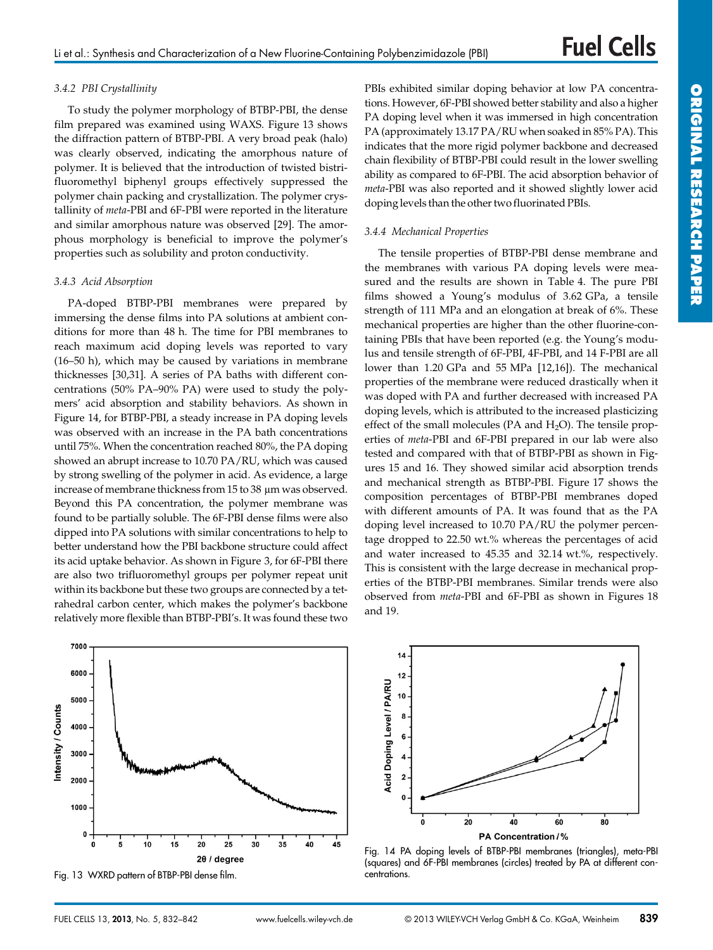#### *3.4.2 PBI Crystallinity*

To study the polymer morphology of BTBP-PBI, the dense film prepared was examined using WAXS. Figure 13 shows the diffraction pattern of BTBP-PBI. A very broad peak (halo) was clearly observed, indicating the amorphous nature of polymer. It is believed that the introduction of twisted bistrifluoromethyl biphenyl groups effectively suppressed the polymer chain packing and crystallization. The polymer crystallinity of *meta*-PBI and 6F-PBI were reported in the literature and similar amorphous nature was observed [29]. The amorphous morphology is beneficial to improve the polymer's properties such as solubility and proton conductivity.

#### *3.4.3 Acid Absorption*

PA-doped BTBP-PBI membranes were prepared by immersing the dense films into PA solutions at ambient conditions for more than 48 h. The time for PBI membranes to reach maximum acid doping levels was reported to vary (16–50 h), which may be caused by variations in membrane thicknesses [30,31]. A series of PA baths with different concentrations (50% PA–90% PA) were used to study the polymers' acid absorption and stability behaviors. As shown in Figure 14, for BTBP-PBI, a steady increase in PA doping levels was observed with an increase in the PA bath concentrations until 75%. When the concentration reached 80%, the PA doping showed an abrupt increase to 10.70 PA/RU, which was caused by strong swelling of the polymer in acid. As evidence, a large increase of membrane thickness from 15 to 38 µm was observed. Beyond this PA concentration, the polymer membrane was found to be partially soluble. The 6F-PBI dense films were also dipped into PA solutions with similar concentrations to help to better understand how the PBI backbone structure could affect its acid uptake behavior. As shown in Figure 3, for 6F-PBI there are also two trifluoromethyl groups per polymer repeat unit within its backbone but these two groups are connected by a tetrahedral carbon center, which makes the polymer's backbone relatively more flexible than BTBP-PBI's. It was found these two

7000 6000 5000 Intensity / Counts 4000 3000 2000 1000  $\mathbf 0$  $10$  $15$  $\overline{5}$ 20 25 30 35 40 45  $2\theta$  / degree

PBIs exhibited similar doping behavior at low PA concentrations. However, 6F-PBI showed better stability and also a higher PA doping level when it was immersed in high concentration PA (approximately 13.17 PA/RU when soaked in 85% PA). This indicates that the more rigid polymer backbone and decreased chain flexibility of BTBP-PBI could result in the lower swelling ability as compared to 6F-PBI. The acid absorption behavior of *meta*-PBI was also reported and it showed slightly lower acid doping levels than the other two fluorinated PBIs.

#### *3.4.4 Mechanical Properties*

The tensile properties of BTBP-PBI dense membrane and the membranes with various PA doping levels were measured and the results are shown in Table 4. The pure PBI films showed a Young's modulus of 3.62 GPa, a tensile strength of 111 MPa and an elongation at break of 6%. These mechanical properties are higher than the other fluorine-containing PBIs that have been reported (e.g. the Young's modulus and tensile strength of 6F-PBI, 4F-PBI, and 14 F-PBI are all lower than 1.20 GPa and 55 MPa [12,16]). The mechanical properties of the membrane were reduced drastically when it was doped with PA and further decreased with increased PA doping levels, which is attributed to the increased plasticizing effect of the small molecules (PA and  $H_2O$ ). The tensile properties of *meta*-PBI and 6F-PBI prepared in our lab were also tested and compared with that of BTBP-PBI as shown in Figures 15 and 16. They showed similar acid absorption trends and mechanical strength as BTBP-PBI. Figure 17 shows the composition percentages of BTBP-PBI membranes doped with different amounts of PA. It was found that as the PA doping level increased to 10.70 PA/RU the polymer percentage dropped to 22.50 wt.% whereas the percentages of acid and water increased to 45.35 and 32.14 wt.%, respectively. This is consistent with the large decrease in mechanical properties of the BTBP-PBI membranes. Similar trends were also observed from *meta*-PBI and 6F-PBI as shown in Figures 18 and 19.



Fig. 14 PA doping levels of BTBP-PBI membranes (triangles), meta-PBI (squares) and 6F-PBI membranes (circles) treated by PA at different concentrations.

**ORIGINAL**

Fig. 13 WXRD pattern of BTBP-PBI dense film.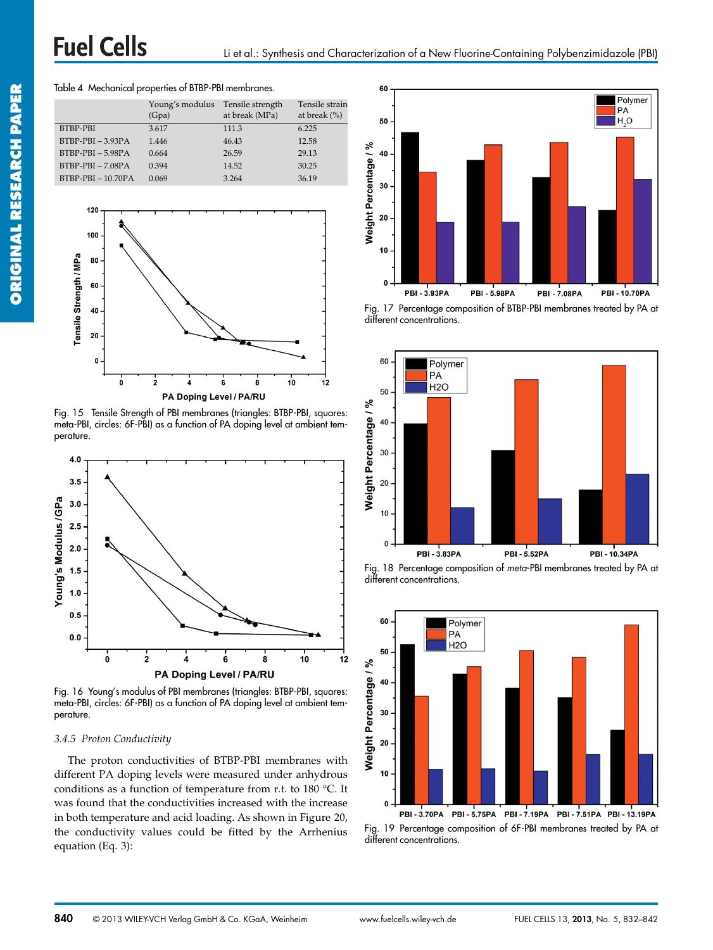#### Table 4 Mechanical properties of BTBP-PBI membranes.

|                     | Young's modulus<br>(Gpa) | Tensile strength<br>at break (MPa) | Tensile strain<br>at break $(\%)$ |
|---------------------|--------------------------|------------------------------------|-----------------------------------|
| BTBP-PBI            | 3.617                    | 111.3                              | 6.225                             |
| $BTRP-PBI - 3.93PA$ | 1.446                    | 46.43                              | 12.58                             |
| $BTBP-PBI - 5.98PA$ | 0.664                    | 26.59                              | 29.13                             |
| $BTBP-PBI - 7.08PA$ | 0.394                    | 14.52                              | 30.25                             |
| $BTBP-PBI-10.70PA$  | 0.069                    | 3.264                              | 36.19                             |



Fig. 15 Tensile Strength of PBI membranes (triangles: BTBP-PBI, squares: meta-PBI, circles: 6F-PBI) as a function of PA doping level at ambient temperature.



Fig. 16 Young's modulus of PBI membranes (triangles: BTBP-PBI, squares: meta-PBI, circles: 6F-PBI) as a function of PA doping level at ambient temperature.

#### *3.4.5 Proton Conductivity*

The proton conductivities of BTBP-PBI membranes with different PA doping levels were measured under anhydrous conditions as a function of temperature from r.t. to 180 °C. It was found that the conductivities increased with the increase in both temperature and acid loading. As shown in Figure 20, the conductivity values could be fitted by the Arrhenius equation (Eq. 3):



Fig. 17 Percentage composition of BTBP-PBI membranes treated by PA at different concentrations.



Fig. 18 Percentage composition of *meta*-PBI membranes treated by PA at different concentrations.



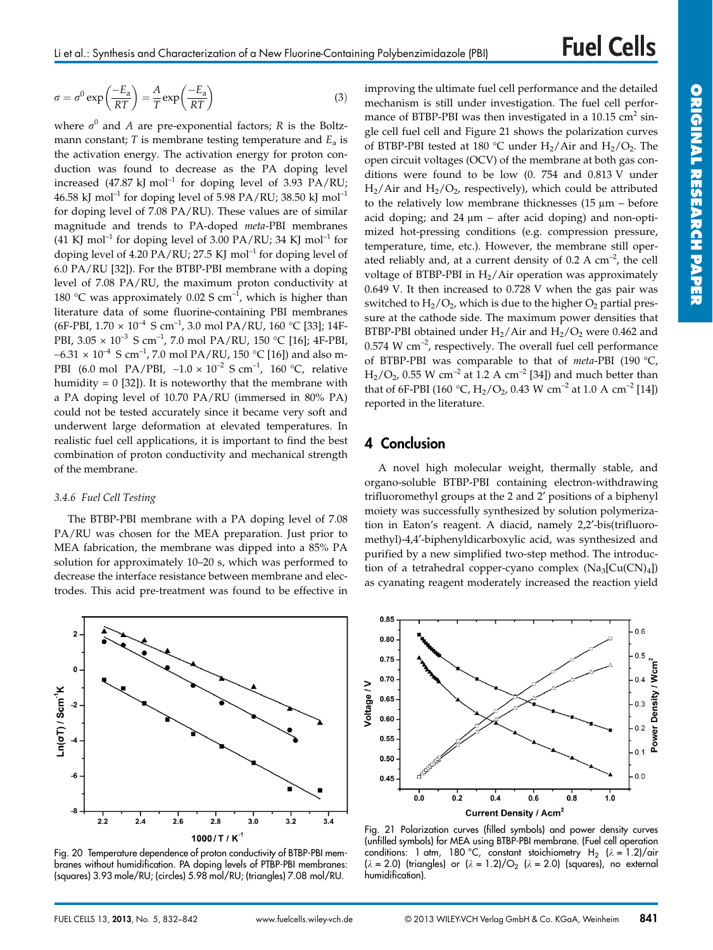$$
\sigma = \sigma^0 \exp\left(\frac{-E_a}{RT}\right) = \frac{A}{T} \exp\left(\frac{-E_a}{RT}\right)
$$
\n(3)

where  $\sigma^0$  and *A* are pre-exponential factors; *R* is the Boltzmann constant; *T* is membrane testing temperature and  $E_a$  is the activation energy. The activation energy for proton conduction was found to decrease as the PA doping level increased (47.87 kJ mol<sup>-1</sup> for doping level of 3.93 PA/RU; 46.58 kJ mol<sup>-1</sup> for doping level of 5.98 PA/RU; 38.50 kJ mol<sup>-1</sup> for doping level of 7.08 PA/RU). These values are of similar magnitude and trends to PA-doped *meta*-PBI membranes (41 KJ mol<sup>-1</sup> for doping level of 3.00 PA/RU; 34 KJ mol<sup>-1</sup> for doping level of 4.20 PA/RU; 27.5 KJ mol<sup>-1</sup> for doping level of 6.0 PA/RU [32]). For the BTBP-PBI membrane with a doping level of 7.08 PA/RU, the maximum proton conductivity at 180 °C was approximately 0.02 S  $cm^{-1}$ , which is higher than literature data of some fluorine-containing PBI membranes (6F-PBI,  $1.70 \times 10^{-4}$  S cm<sup>-1</sup>, 3.0 mol PA/RU, 160 °C [33]; 14F-PBI,  $3.05 \times 10^{-3}$  S cm<sup>-1</sup>, 7.0 mol PA/RU, 150 °C [16]; 4F-PBI,  $~\sim$ 6.31 × 10<sup>-4</sup> S cm<sup>-1</sup>, 7.0 mol PA/RU, 150 °C [16]) and also m-PBI (6.0 mol PA/PBI, ~1.0 × 10<sup>-2</sup> S cm<sup>-1</sup>, 160 °C, relative humidity =  $0$  [32]). It is noteworthy that the membrane with a PA doping level of 10.70 PA/RU (immersed in 80% PA) could not be tested accurately since it became very soft and underwent large deformation at elevated temperatures. In realistic fuel cell applications, it is important to find the best combination of proton conductivity and mechanical strength of the membrane.

#### *3.4.6 Fuel Cell Testing*

The BTBP-PBI membrane with a PA doping level of 7.08 PA/RU was chosen for the MEA preparation. Just prior to MEA fabrication, the membrane was dipped into a 85% PA solution for approximately 10–20 s, which was performed to decrease the interface resistance between membrane and electrodes. This acid pre-treatment was found to be effective in



Fig. 20 Temperature dependence of proton conductivity of BTBP-PBI membranes without humidification. PA doping levels of PTBP-PBI membranes: (squares) 3.93 mole/RU; (circles) 5.98 mol/RU; (triangles) 7.08 mol/RU.

improving the ultimate fuel cell performance and the detailed mechanism is still under investigation. The fuel cell performance of BTBP-PBI was then investigated in a  $10.15 \text{ cm}^2 \text{ sin}$ gle cell fuel cell and Figure 21 shows the polarization curves of BTBP-PBI tested at 180 °C under  $H_2/A$ ir and  $H_2/O_2$ . The open circuit voltages (OCV) of the membrane at both gas conditions were found to be low (0. 754 and 0.813 V under  $H_2/A$ ir and  $H_2/O_2$ , respectively), which could be attributed to the relatively low membrane thicknesses  $(15 \mu m - \text{before})$ acid doping; and  $24 \mu m$  – after acid doping) and non-optimized hot-pressing conditions (e.g. compression pressure, temperature, time, etc.). However, the membrane still operated reliably and, at a current density of  $0.2 \text{ A cm}^{-2}$ , the cell voltage of BTBP-PBI in  $H_2/A$ ir operation was approximately 0.649 V. It then increased to 0.728 V when the gas pair was switched to  $H_2/O_2$ , which is due to the higher  $O_2$  partial pressure at the cathode side. The maximum power densities that BTBP-PBI obtained under  $H<sub>2</sub>/Air$  and  $H<sub>2</sub>/O<sub>2</sub>$  were 0.462 and  $0.574$  W cm<sup>-2</sup>, respectively. The overall fuel cell performance of BTBP-PBI was comparable to that of *meta*-PBI (190 °C,  $H_2/O_2$ , 0.55 W cm<sup>-2</sup> at 1.2 A cm<sup>-2</sup> [34]) and much better than that of 6F-PBI (160 °C,  $H_2/O_2$ , 0.43 W cm<sup>-2</sup> at 1.0 A cm<sup>-2</sup> [14]) reported in the literature.

### **4 Conclusion**

A novel high molecular weight, thermally stable, and organo-soluble BTBP-PBI containing electron-withdrawing trifluoromethyl groups at the 2 and 2′ positions of a biphenyl moiety was successfully synthesized by solution polymerization in Eaton's reagent. A diacid, namely 2,2′-bis(trifluoromethyl)-4,4′-biphenyldicarboxylic acid, was synthesized and purified by a new simplified two-step method. The introduction of a tetrahedral copper-cyano complex  $(Na_3[Cu(CN)<sub>4</sub>]$ as cyanating reagent moderately increased the reaction yield



Fig. 21 Polarization curves (filled symbols) and power density curves (unfilled symbols) for MEA using BTBP-PBI membrane. (Fuel cell operation conditions: 1 atm, 180 °C, constant stoichiometry H<sub>2</sub> ( $\lambda = 1.2$ )/air  $(\lambda = 2.0)$  (triangles) or  $(\lambda = 1.2)/O_2$  ( $\lambda = 2.0$ ) (squares), no external humidification).